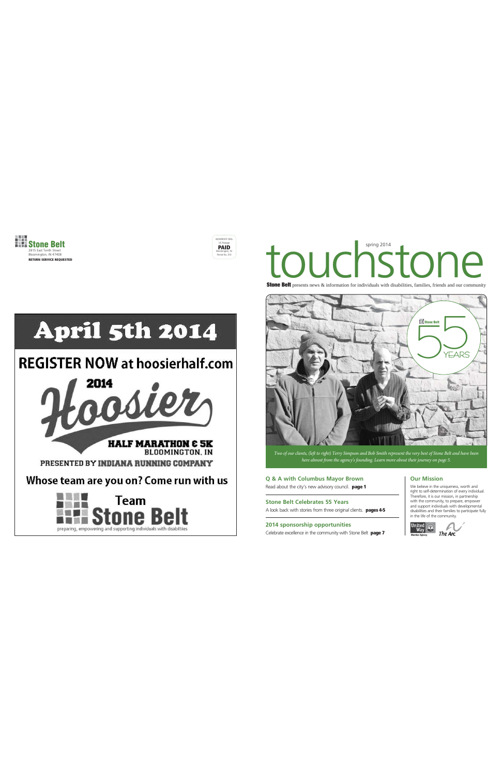



# touchstone

**Stone Belt** presents news & information for individuals with disabilities, families, friends and our community



*Two of our clients, (left to right) Terry Simpson and Bob Smith represent the very best of Stone Belt and have been here almost from the agency's founding. Learn more about their journey on page 5.* 

**Q & A with Columbus Mayor Brown** Read about the city's new advisory council. **page 1**

**Stone Belt Celebrates 55 Years** A look back with stories from three original clients. **pages 4-5**

**2014 sponsorship opportunities** Celebrate excellence in the community with Stone Belt **page 7**

# **Our Mission**

We believe in the uniqueness, worth and right to self-determination of every individual. Therefore, it is our mission, in partnership with the community, to prepare, empower and support individuals with developmental disabilities and their families to participate fully in the life of the community.





# **REGISTER NOW at hoosierhalf.com**

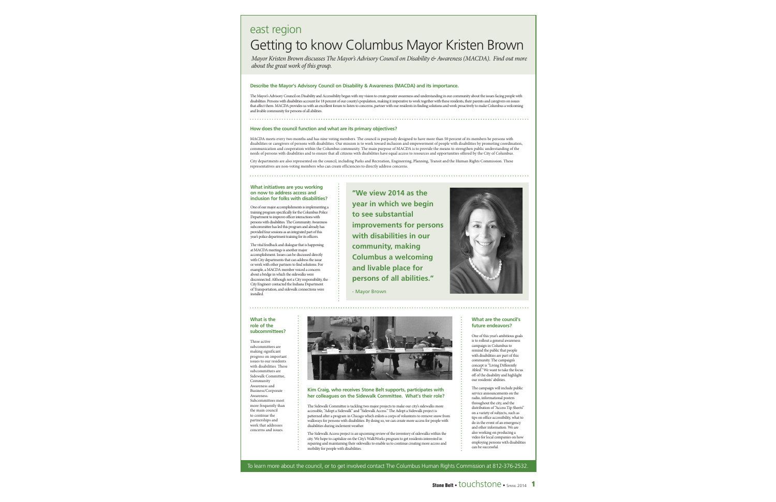# east region Getting to know Columbus Mayor Kristen Brown

*Mayor Kristen Brown discusses The Mayor's Advisory Council on Disability & Awareness (MACDA). Find out more about the great work of this group.*

# **Describe the Mayor's Advisory Council on Disability & Awareness (MACDA) and its importance.**

The Mayor's Advisory Council on Disability and Accessibility began with my vision to create greater awareness and understanding in our community about the issues facing people with disabilities. Persons with disabilities account for 18 percent of our county's population, making it imperative to work together with these residents, their parents and caregivers on issues that affect them. MACDA provides us with an excellent forum to listen to concerns, partner with our residents in finding solutions and work proactively to make Columbus a welcoming and livable community for persons of all abilities.

# **How does the council function and what are its primary objectives?**

MACDA meets every two months and has nine voting members. The council is purposely designed to have more than 50 percent of its members be persons with disabilities or caregivers of persons with disabilities. Our mission is to work toward inclusion and empowerment of people with disabilities by promoting coordination, communication and cooperation within the Columbus community. The main purpose of MACDA is to provide the means to strengthen public understanding of the needs of persons with disabilities and to ensure that all citizens with disabilities have equal access to resources and opportunities offered by the City of Columbus.

City departments are also represented on the council, including Parks and Recreation, Engineering, Planning, Transit and the Human Rights Commission. These representatives are non-voting members who can create efficiencies to directly address concerns.

### **What initiatives are you working on now to address access and inclusion for folks with disabilities?**

One of our major accomplishments is implementing a training program specifically for the Columbus Police Department to improve officer interactions with persons with disabilities. The Community Awareness subcommittee has led this program and already has provided four sessions as an integrated part of this year's police department training for its officers.

The vital feedback and dialogue that is happening at MACDA meetings is another major accomplishment. Issues can be discussed directly with City departments that can address the issue or work with other partners to find solutions. For example, a MACDA member voiced a concern about a bridge in which the sidewalks were disconnected. Although not a City responsibility, the City Engineer contacted the Indiana Department of Transportation, and sidewalk connections were installed.

**"We view 2014 as the year in which we begin to see substantial improvements for persons with disabilities in our community, making Columbus a welcoming and livable place for persons of all abilities."**

- Mayor Brown



### **What is the role of the subcommittees?**

Three active subcommittees are making significant progress on important issues to our residents with disabilities. These subcommittees are Sidewalk Committee, Community Awareness and Business/Corporate Awareness. Subcommittees meet more frequently than the main council to continue the partnerships and work that addresses concerns and issues.



## **Kim Craig, who receives Stone Belt supports, participates with her colleagues on the Sidewalk Committee. What's their role?**

The Sidewalk Committee is tackling two major projects to make our city's sidewalks more accessible, "Adopt a Sidewalk" and "Sidewalk Access." The Adopt a Sidewalk project is patterned after a program in Chicago which enlists a corps of volunteers to remove snow from walkways for persons with disabilities. By doing so, we can create more access for people with disabilities during inclement weather.

The Sidewalk Access project is an upcoming review of the inventory of sidewalks within the city. We hope to capitalize on the City's WalkWorks program to get residents interested in repairing and maintaining their sidewalks to enable us to continue creating more access and mobility for people with disabilities.

## **What are the council's future endeavors?**

One of this year's ambitious goals is to rollout a general awareness campaign in Columbus to remind the public that people with disabilities are part of this community. The campaign's concept is "Living Differently Abled." We want to take the focus off of the disability and highlight our residents' abilities.

The campaign will include public service announcements on the radio, informational posters throughout the city, and the distribution of "Access Tip Sheets" on a variety of subjects, such as tips on office accessibility, what to do in the event of an emergency and other information. We are also working on producing a video for local companies on how employing persons with disabilities can be successful.

To learn more about the council, or to get involved contact The Columbus Human Rights Commission at 812-376-2532.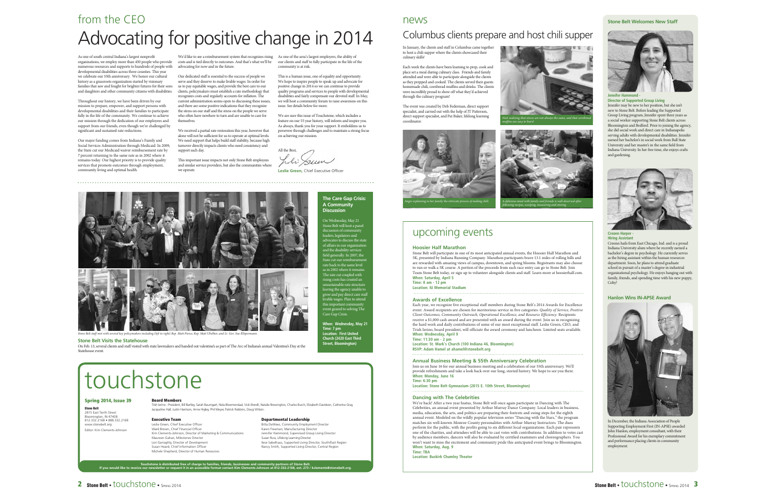# from the CEOAdvocating for positive change in 2014 Columbus clients prepare and host chili supper

As one of south central Indiana's largest nonprofit organizations, we employ more than 450 people who provide numerous resources and supports to hundreds of people with developmental disabilities across three counties. This year we celebrate our 55th anniversary. We honor our cultural history as a grassroots organization started by visionary families that saw and fought for brighter futures for their sons and daughters and other community citizens with disabilities.

Throughout our history, we have been driven by our mission to prepare, empower, and support persons with developmental disabilities and their families to participate fully in the life of the community. We continue to achieve our mission through the dedication of our employees and support from our friends, even though we're challenged by significant and sustained rate reductions.

Our major funding comes from Indiana's Family and Social Services Administration through Medicaid. In 2009, the State cut our Medicaid waiver reimbursement rate by 7 percent returning to the same rate as in 2002 where it remains today. Our highest priority is to provide quality services that promote outcomes through employment, community living and optimal health.

We'd like to see a reimbursement system that recognizes rising As one of the area's largest employers, the ability of costs and is tied directly to outcomes. And that's what we'll be advocating for now and in the future.

Our dedicated staff is essential to the success of people we serve and they deserve to make livable wages. In order for us to pay equitable wages, and provide the best care to our clients, policymakers must establish a rate methodology that recognizes costs and regularly accounts for inflation. The current administration seems open to discussing these issues, and there are some positive indications that they recognize the stress on our staff and the stress on the people we serve who often have nowhere to turn and are unable to care for themselves.

We received a partial rate restoration this year, however that alone will not be sufficient for us to operate at optimal levels. We need support that helps build staff stability, because high turnover directly impacts clients who need consistency and support each day.

This important issue impacts not only Stone Belt employees and similar service providers, but also the communities where we operate

our clients and staff to fully participate in the life of the nunity is at risk.

This is a human issue, one of equality and opportunity. We hope to inspire people to speak up and advocate for positive change in 2014 so we can continue to provide quality programs and services to people with developmental disabilities and fairly compensate our devoted staff. In May, we will host a community forum to raise awareness on this issue. See details below for more.

We are sure this issue of Touchstone, which includes a feature on our 55 year history, will inform and inspire you. As always, thank you for your support. It emboldens us to persevere through challenges and to maintain a strong focus on achieving our mission.

All the Best, Tili Sum

**Leslie Green, Chief Executive Officer** 



**Stone Belt** 2815 East Tenth Street Bloomington, IN 47408 812.332.2168 • 888.332.2168 nebelt.org Editor: Kim Clements-Johnson

**Stone Belt Visits the Statehouse**<br>On Feb. 13, several clients and staff visited with state lawmakers and handed out valentine's as part of The Arc of Indiana's annual Valentine's Day at the **Street, Bloomington**) Statehouse event.

# touchstone

# **Spring 2014, Issue 39**

**Board Members**<br>Trish Ierino - President, Bill Bartley, Sarah Baumgart, Nola Bloemendaal, Vicki Borelli, Natalie Brewington, Charles Burch, Elizabeth Davidson, Catherine Gray, Jacqueline Hall, Justin Harrison, Anne Higley, Phil Meyer, Patrick Robbins, Doug Wilson.

### **Executive Team**

Leslie Green, Chief Executive Officer Ward Brown, Chief Financial Officer Kim Clements-Johnson, Director of Marketing & Communications Maureen Gahan, Milestones Director Lori Garraghty, Director of Development Susan Hoard, Chief Information Officer Michele Shepherd, Director of Human Resources

# **Departmental Leadership**

Bitta DeWees, Community Employment Director Karen Freeman, Manufacturing Director Jennifer Hammond, Supervised Group Living Director Susan Russ, Lifelong Learning Director Ilese Sabelhaus, Supported Living Director, South/East Region Nancy Smith, Supported Living Director, Central Region

Touchstone is distributed free of charge to families, friends, businesses and community partners of Stone Belt.<br>If you would like to receive our newsletter or request it in an accessible format contact Kim Clements-Johnson

# news

In January, the clients and staff in Columbus came together to host a chili supper where the clients showcased their culinary skills!

Each week the clients have been learning to prep, cook and place set a meal during culinary class. Friends and family attended and were able to participate alongside the clients as they prepped and cooked. The clients served their guests homemade chili, cornbread muffins and drinks. The clients were incredibly proud to show off what they'd achieved through the culinary program!

The event was created by Deb Federman, direct support specialist, and carried out with the help of JT Patterson, direct support specialist, and Pat Baker, lifelong learning coordinator. *Nick realizing that stoves are not always the same, and that cornbread muffins are easy to burn!* 





# upcoming events

### **Hoosier Half Marathon**

 Stone Belt will participate in one of its most anticipated annual events, the Hoosier Half Marathon and 5K, presented by Indiana Running Company. Marathon participants brave 13.1 miles of rolling hills and are rewarded with amazing views of campus, downtown, and spring blooms. Registrants may also choose to run or walk a 5K course. A portion of the proceeds from each race entry can go to Stone Belt. Join Team Stone Belt today, or sign up to volunteer alongside clients and staff. Learn more at hoosierhalf.com. **When: Saturday, April 5**

**Time: 8 am - 12 pm Location: IU Memorial Stadium**

### **Awards of Excellence**

 Each year, we recognize five exceptional staff members during Stone Belt's 2014 Awards for Excellence event. Award recipients are chosen for meritorious service in five categories: *Quality of Service, Positive Client Outcomes, Community Outreach, Operational Excellence, and Resource Efficiency*. Recipients receive a \$1,000 cash award and are presented with an award during the event. Join us in recognizing the hard work and daily contributions of some of our most exceptional staff. Leslie Green, CEO, and Trish Ierino, board president, will officiate the award ceremony and luncheon. Limited seats available. **When: Wednesday, April 9**

**Time: 11:30 am - 2 pm**

**Location: St. Mark's Church (100 Indiana 46, Bloomington) RSVP: Adam Hamel at ahamel@stonebelt.org**

### **Annual Business Meeting & 55th Anniversary Celebration**

Join us on June 16 for our annual business meeting and a celebration of our 55th anniversary. We'll provide refreshments and take a look back over our long, storied history. We hope to see you there. **When: Monday, June 16**

**Time: 6:30 pm**

**Location: Stone Belt Gymnasium (2815 E. 10th Street, Bloomington)**

### **Dancing with The Celebrities**

We're back! After a two year hiatus, Stone Belt will once again participate in Dancing with The Celebrities, an annual event presented by Arthur Murray Dance Company. Local leaders in business, media, education, the arts, and politics are preparing their foxtrots and swing steps for the eighth annual event. Modeled on the wildly popular television series "Dancing with the Stars," the program matches six well-known Monroe County personalities with Arthur Murray Instructors. The duos perform for the public, with the profits going to six different local organizations. Each pair represents one of the charities, and attendees will be able to cast votes with contributions. In addition to votes cast by audience members, dancers will also be evaluated by certified examiners and choreographers. You won't want to miss the excitement and community pride this anticipated event brings to Bloomington. **When: Saturday, Aug. 9 Time: TBA**

**Location: Buskirk Chumley Theater**



**Stone Belt Welcomes New Staff**



### **Jennifer Hammond -Director of Supported Group Living**

Jennifer may be new to her position, but she isn't new to Stone Belt. Before leading the Supported Group Living program, Jennifer spent three years as a social worker supporting Stone Belt clients across Bloomington and Bedford. Prior to joining the agency, she did social work and direct care in Indianapolis serving adults with developmental disabilities. Jennifer earned her bachelor's in social work from Ball State University and her master's in the same field from Indiana University. In her free time, she enjoys crafts and gardening.



# **Hiring Assistant**

Creonn hails from East Chicago, Ind. and is a proud Indiana University alum where he recently earned a bachelor's degree in psychology. He currently serves as the hiring assistant within the human resources department. Soon, he plans to attend graduate school in pursuit of a master's degree in industrial organizational psychology. He enjoys hanging out with family, friends, and spending time with his new puppy, Coby<sup>1</sup>

# **Hanlon Wins IN-APSE Award**



In December, the Indiana Association of People Supporting Employment First (IN-APSE) awarded John Hanlon, employment consultant, with their Professional Award for his exemplary commitment and performance placing clients in community employment.

**When: Wednesday, May 21 Time: 7 pm Location: First United Church (2420 East Third** 

**The Care Gap Crisis: A Community Discussion**

On Wednesday, May 21 Stone Belt will host a panel discussion of community leaders, legislators and ates to discuss the states of affairs in our organization and the disability services field generally. In 2007, the

State cut our reimbursement<br>rate back to the same level<br>as in 2002 where it remains.

The rate cut coupled with rising costs has created an unsustainable rate structure eaving the agency unable to grow and pay direct care staff livable wages. Plan to attend this important community event geared to solving The Care Gap Crisis.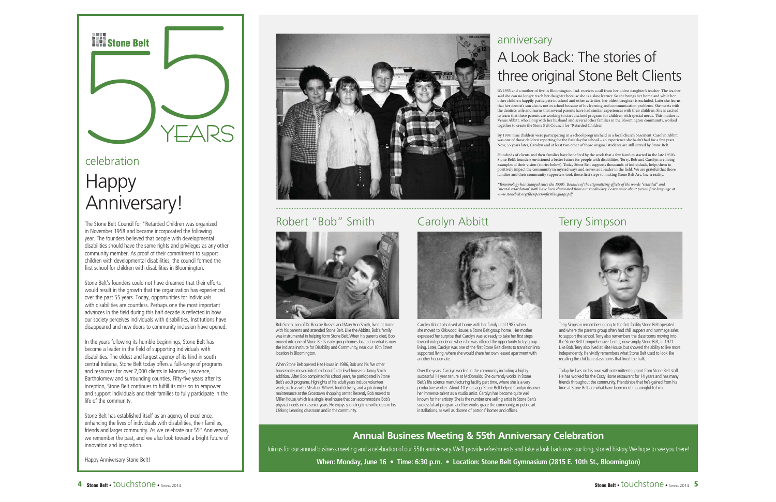

# celebration**Happy**

# Anniversary!

The Stone Belt Council for \*Retarded Children was organized in November 1958 and became incorporated the following year. The founders believed that people with developmental disabilities should have the same rights and privileges as any other community member. As proof of their commitment to support children with developmental disabilities, the council formed the first school for children with disabilities in Bloomington.

Stone Belt's founders could not have dreamed that their efforts would result in the growth that the organization has experienced over the past 55 years. Today, opportunities for individuals with disabilities are countless. Perhaps one the most important advances in the field during this half decade is reflected in how our society perceives individuals with disabilities. Institutions have disappeared and new doors to community inclusion have opened.

In the years following its humble beginnings, Stone Belt has become a leader in the field of supporting individuals with disabilities. The oldest and largest agency of its kind in south central Indiana, Stone Belt today offers a full-range of programs and resources for over 2,000 clients in Monroe, Lawrence, Bartholomew and surrounding counties. Fifty-five years after its inception, Stone Belt continues to fulfill its mission to empower and support individuals and their families to fully participate in the life of the community.

Stone Belt has established itself as an agency of excellence, enhancing the lives of individuals with disabilities, their families, friends and larger community. As we celebrate our 55<sup>th</sup> Anniversary we remember the past, and we also look toward a bright future of innovation and inspiration.

Happy Anniversary Stone Belt!



# Robert "Bob" Smith



Bob Smith, son of Dr. Roscoe Russell and Mary Ann Smith, lived at home with his parents and attended Stone Belt. Like the Abbitts, Bob's family was instrumental in helping form Stone Belt. When his parents died, Bob moved into one of Stone Belt's early group homes located in what is now the Indiana Institute for Disability and Community, near our 10th Street location in Bloomington.

When Stone Belt opened Hite House in 1986, Bob and his five other housemates moved into their beautiful tri-level house in Danny Smith addition. After Bob completed his school years, he participated in Stone Belt's adult programs. Highlights of his adult years include volunteer work, such as with Meals on Wheels food delivery, and a job doing lot maintenance at the Crosstown shopping center. Recently Bob moved to Miller House, which is a single level house that can accommodate Bob's physical needs in his senior years. He enjoys spending time with peers in his Lifelong Learning classroom and in the community.

# anniversary A Look Back: The stories of three original Stone Belt Clients

It's 1955 and a mother of five in Bloomington, Ind. receives a call from her oldest daughter's teacher. The teacher said she can no longer teach her daughter because she is a slow learner. So she brings her home and while her other children happily participate in school and other activities, her oldest daughter is excluded. Later she learns that her dentist's son also is not in school because of his learning and communication problems. She meets with the dentist's wife and learns that several parents have had similar experiences with their children. She is excited to learn that these parents are working to start a school program for children with special needs. This mother is Venus Abbitt, who along with her husband and several other families in the Bloomington community, worked together to create the Stone Belt Council for \*Retarded Children.

By 1959, nine children were participating in a school program held in a local church basement. Carolyn Abbitt was one of those children reporting for the first day for school – an experience she hadn't had for a few years. Now, 55 years later, Carolyn and at least two other of those original students are still served by Stone Belt.

Hundreds of clients and their families have benefited by the work that a few families started in the late 1950's.<br>Stone Belt's founders envisioned a better future for people with disabilities. Terry, Bob and Carolyn are li examples of their vision (stories below). Today Stone Belt supports thousands of individuals, helps them to positively impact the community in myriad ways and serves as a leader in the field. We are grateful that those families and their community supporters took those first steps to making Stone Belt Arc, Inc. a reality.

\*Terminology has changed since the 1950's. Because of the stigmatizing effects of the words "retarded" and<br>"mental retardation" both have been eliminated from our vocabulary. Learn more about person first language at *www.stonebelt.org/files/personfirstlanguage.pdf.* 



Carolyn Abbitt also lived at home with her family until 1987 when she moved to Kirkwood House, a Stone Belt group home. Her mother expressed her surprise that Carolyn was so ready to take her first steps toward independence when she was offered the opportunity to try group living. Later, Carolyn was one of the first Stone Belt clients to transition into supported living, where she would share her own leased apartment with another housemate.

Over the years, Carolyn worked in the community including a highly successful 11 year tenure at McDonalds. She currently works in Stone Belt's life science manufacturing facility part time, where she is a very productive worker. About 10 years ago, Stone Belt helped Carolyn discover her immense talent as a studio artist. Carolyn has become quite well known for her artistry. She is the number one selling artist in Stone Belt's successful art program and her works grace the community, in public art installations, as well as dozens of patrons' homes and offices.

# Carolyn Abbitt Terry Simpson



Terry Simpson remembers going to the first facility Stone Belt operated and where the parents group often had chili suppers and rummage sales to support the school. Terry also remembers the classrooms moving into the Stone Belt Comprehensive Center, now simply Stone Belt, in 1971. Like Bob, Terry also lived at Hite House, but showed the ability to live more independently. He vividly remembers what Stone Belt used to look like recalling the childcare classrooms that lined the halls.

Today he lives on his own with intermittent support from Stone Belt staff. He has worked for the Crazy Horse restaurant for 14 years and has many friends throughout the community. Friendships that he's gained from his time at Stone Belt are what have been most meaningful to him.

# **Annual Business Meeting & 55th Anniversary Celebration**

Join us for our annual business meeting and a celebration of our 55th anniversary. We'll provide refreshments and take a look back over our long, storied history. We hope to see you there! **When: Monday, June 16 • Time: 6:30 p.m. • Location: Stone Belt Gymnasium (2815 E. 10th St., Bloomington)**